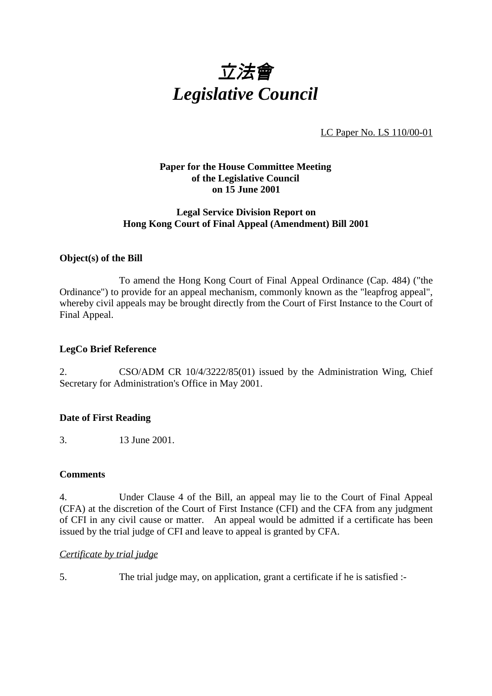

LC Paper No. LS 110/00-01

# **Paper for the House Committee Meeting of the Legislative Council on 15 June 2001**

# **Legal Service Division Report on Hong Kong Court of Final Appeal (Amendment) Bill 2001**

# **Object(s) of the Bill**

To amend the Hong Kong Court of Final Appeal Ordinance (Cap. 484) ("the Ordinance") to provide for an appeal mechanism, commonly known as the "leapfrog appeal", whereby civil appeals may be brought directly from the Court of First Instance to the Court of Final Appeal.

## **LegCo Brief Reference**

2. CSO/ADM CR 10/4/3222/85(01) issued by the Administration Wing, Chief Secretary for Administration's Office in May 2001.

## **Date of First Reading**

3. 13 June 2001.

## **Comments**

4. Under Clause 4 of the Bill, an appeal may lie to the Court of Final Appeal (CFA) at the discretion of the Court of First Instance (CFI) and the CFA from any judgment of CFI in any civil cause or matter. An appeal would be admitted if a certificate has been issued by the trial judge of CFI and leave to appeal is granted by CFA.

## *Certificate by trial judge*

5. The trial judge may, on application, grant a certificate if he is satisfied :-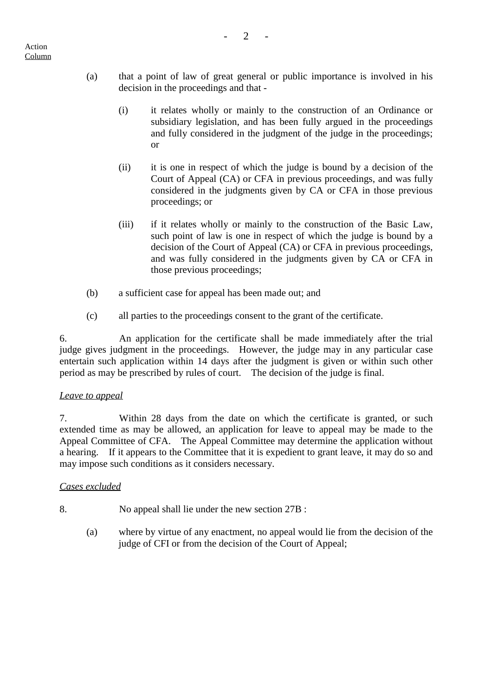- (a) that a point of law of great general or public importance is involved in his decision in the proceedings and that -
	- (i) it relates wholly or mainly to the construction of an Ordinance or subsidiary legislation, and has been fully argued in the proceedings and fully considered in the judgment of the judge in the proceedings; or
	- (ii) it is one in respect of which the judge is bound by a decision of the Court of Appeal (CA) or CFA in previous proceedings, and was fully considered in the judgments given by CA or CFA in those previous proceedings; or
	- (iii) if it relates wholly or mainly to the construction of the Basic Law, such point of law is one in respect of which the judge is bound by a decision of the Court of Appeal (CA) or CFA in previous proceedings, and was fully considered in the judgments given by CA or CFA in those previous proceedings;
- (b) a sufficient case for appeal has been made out; and
- (c) all parties to the proceedings consent to the grant of the certificate.

6. An application for the certificate shall be made immediately after the trial judge gives judgment in the proceedings. However, the judge may in any particular case entertain such application within 14 days after the judgment is given or within such other period as may be prescribed by rules of court. The decision of the judge is final.

## *Leave to appeal*

7. Within 28 days from the date on which the certificate is granted, or such extended time as may be allowed, an application for leave to appeal may be made to the Appeal Committee of CFA. The Appeal Committee may determine the application without a hearing. If it appears to the Committee that it is expedient to grant leave, it may do so and may impose such conditions as it considers necessary.

## *Cases excluded*

- 8. No appeal shall lie under the new section 27B :
	- (a) where by virtue of any enactment, no appeal would lie from the decision of the judge of CFI or from the decision of the Court of Appeal;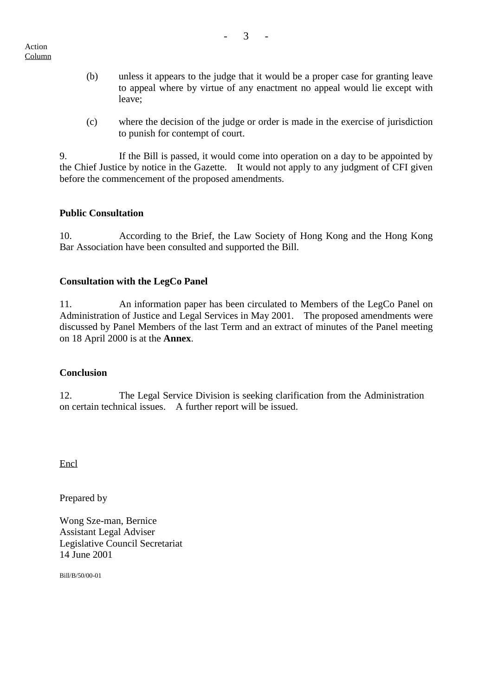- (b) unless it appears to the judge that it would be a proper case for granting leave to appeal where by virtue of any enactment no appeal would lie except with leave;
- (c) where the decision of the judge or order is made in the exercise of jurisdiction to punish for contempt of court.

9. If the Bill is passed, it would come into operation on a day to be appointed by the Chief Justice by notice in the Gazette. It would not apply to any judgment of CFI given before the commencement of the proposed amendments.

# **Public Consultation**

10. According to the Brief, the Law Society of Hong Kong and the Hong Kong Bar Association have been consulted and supported the Bill.

# **Consultation with the LegCo Panel**

11. An information paper has been circulated to Members of the LegCo Panel on Administration of Justice and Legal Services in May 2001. The proposed amendments were discussed by Panel Members of the last Term and an extract of minutes of the Panel meeting on 18 April 2000 is at the **Annex**.

## **Conclusion**

12. The Legal Service Division is seeking clarification from the Administration on certain technical issues. A further report will be issued.

Encl

Prepared by

Wong Sze-man, Bernice Assistant Legal Adviser Legislative Council Secretariat 14 June 2001

Bill/B/50/00-01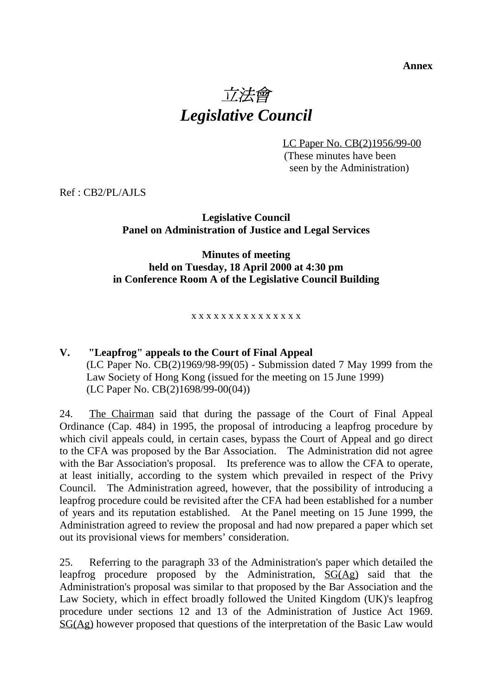# **Annex** 立法會 *Legislative Council*

LC Paper No. CB(2)1956/99-00

 (These minutes have been seen by the Administration)

Ref : CB2/PL/AJLS

# **Legislative Council Panel on Administration of Justice and Legal Services**

# **Minutes of meeting held on Tuesday, 18 April 2000 at 4:30 pm in Conference Room A of the Legislative Council Building**

## x x x x x x x x x x x x x x x

# **V. "Leapfrog" appeals to the Court of Final Appeal** (LC Paper No. CB(2)1969/98-99(05) - Submission dated 7 May 1999 from the Law Society of Hong Kong (issued for the meeting on 15 June 1999) (LC Paper No. CB(2)1698/99-00(04))

24. The Chairman said that during the passage of the Court of Final Appeal Ordinance (Cap. 484) in 1995, the proposal of introducing a leapfrog procedure by which civil appeals could, in certain cases, bypass the Court of Appeal and go direct to the CFA was proposed by the Bar Association. The Administration did not agree with the Bar Association's proposal. Its preference was to allow the CFA to operate, at least initially, according to the system which prevailed in respect of the Privy Council. The Administration agreed, however, that the possibility of introducing a leapfrog procedure could be revisited after the CFA had been established for a number of years and its reputation established. At the Panel meeting on 15 June 1999, the Administration agreed to review the proposal and had now prepared a paper which set out its provisional views for members' consideration.

25. Referring to the paragraph 33 of the Administration's paper which detailed the leapfrog procedure proposed by the Administration, SG(Ag) said that the Administration's proposal was similar to that proposed by the Bar Association and the Law Society, which in effect broadly followed the United Kingdom (UK)'s leapfrog procedure under sections 12 and 13 of the Administration of Justice Act 1969. SG(Ag) however proposed that questions of the interpretation of the Basic Law would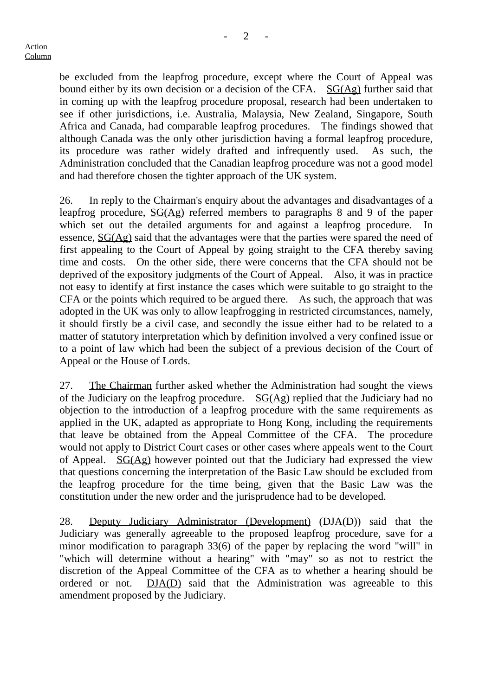be excluded from the leapfrog procedure, except where the Court of Appeal was bound either by its own decision or a decision of the CFA.  $SG(Ag)$  further said that in coming up with the leapfrog procedure proposal, research had been undertaken to see if other jurisdictions, i.e. Australia, Malaysia, New Zealand, Singapore, South Africa and Canada, had comparable leapfrog procedures. The findings showed that although Canada was the only other jurisdiction having a formal leapfrog procedure, its procedure was rather widely drafted and infrequently used. As such, the Administration concluded that the Canadian leapfrog procedure was not a good model and had therefore chosen the tighter approach of the UK system.

26. In reply to the Chairman's enquiry about the advantages and disadvantages of a leapfrog procedure, SG(Ag) referred members to paragraphs 8 and 9 of the paper which set out the detailed arguments for and against a leapfrog procedure. essence, SG(Ag) said that the advantages were that the parties were spared the need of first appealing to the Court of Appeal by going straight to the CFA thereby saving time and costs. On the other side, there were concerns that the CFA should not be deprived of the expository judgments of the Court of Appeal. Also, it was in practice not easy to identify at first instance the cases which were suitable to go straight to the CFA or the points which required to be argued there. As such, the approach that was adopted in the UK was only to allow leapfrogging in restricted circumstances, namely, it should firstly be a civil case, and secondly the issue either had to be related to a matter of statutory interpretation which by definition involved a very confined issue or to a point of law which had been the subject of a previous decision of the Court of Appeal or the House of Lords.

27. The Chairman further asked whether the Administration had sought the views of the Judiciary on the leapfrog procedure.  $SG(Ag)$  replied that the Judiciary had no objection to the introduction of a leapfrog procedure with the same requirements as applied in the UK, adapted as appropriate to Hong Kong, including the requirements that leave be obtained from the Appeal Committee of the CFA. The procedure would not apply to District Court cases or other cases where appeals went to the Court of Appeal.  $SG(Ag)$  however pointed out that the Judiciary had expressed the view that questions concerning the interpretation of the Basic Law should be excluded from the leapfrog procedure for the time being, given that the Basic Law was the constitution under the new order and the jurisprudence had to be developed.

28. Deputy Judiciary Administrator (Development) (DJA(D)) said that the Judiciary was generally agreeable to the proposed leapfrog procedure, save for a minor modification to paragraph 33(6) of the paper by replacing the word "will" in "which will determine without a hearing" with "may" so as not to restrict the discretion of the Appeal Committee of the CFA as to whether a hearing should be ordered or not. DJA(D) said that the Administration was agreeable to this amendment proposed by the Judiciary.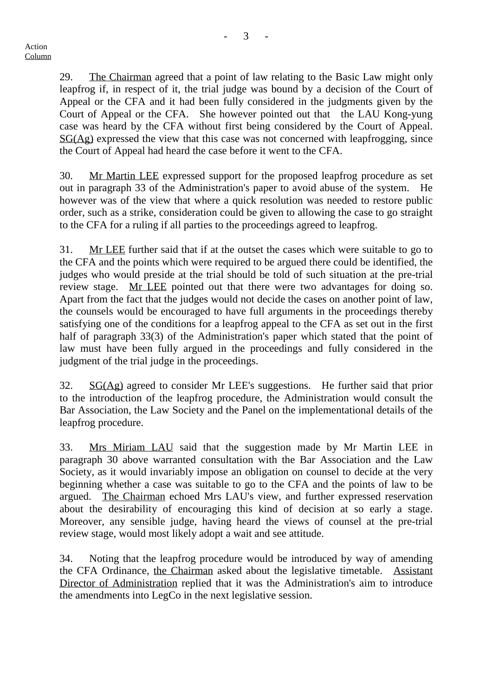29. The Chairman agreed that a point of law relating to the Basic Law might only leapfrog if, in respect of it, the trial judge was bound by a decision of the Court of Appeal or the CFA and it had been fully considered in the judgments given by the Court of Appeal or the CFA. She however pointed out that the LAU Kong-yung case was heard by the CFA without first being considered by the Court of Appeal. SG(Ag) expressed the view that this case was not concerned with leapfrogging, since the Court of Appeal had heard the case before it went to the CFA.

30. Mr Martin LEE expressed support for the proposed leapfrog procedure as set out in paragraph 33 of the Administration's paper to avoid abuse of the system. He however was of the view that where a quick resolution was needed to restore public order, such as a strike, consideration could be given to allowing the case to go straight to the CFA for a ruling if all parties to the proceedings agreed to leapfrog.

31. Mr LEE further said that if at the outset the cases which were suitable to go to the CFA and the points which were required to be argued there could be identified, the judges who would preside at the trial should be told of such situation at the pre-trial review stage. Mr LEE pointed out that there were two advantages for doing so. Apart from the fact that the judges would not decide the cases on another point of law, the counsels would be encouraged to have full arguments in the proceedings thereby satisfying one of the conditions for a leapfrog appeal to the CFA as set out in the first half of paragraph 33(3) of the Administration's paper which stated that the point of law must have been fully argued in the proceedings and fully considered in the judgment of the trial judge in the proceedings.

32. SG(Ag) agreed to consider Mr LEE's suggestions. He further said that prior to the introduction of the leapfrog procedure, the Administration would consult the Bar Association, the Law Society and the Panel on the implementational details of the leapfrog procedure.

33. Mrs Miriam LAU said that the suggestion made by Mr Martin LEE in paragraph 30 above warranted consultation with the Bar Association and the Law Society, as it would invariably impose an obligation on counsel to decide at the very beginning whether a case was suitable to go to the CFA and the points of law to be argued. The Chairman echoed Mrs LAU's view, and further expressed reservation about the desirability of encouraging this kind of decision at so early a stage. Moreover, any sensible judge, having heard the views of counsel at the pre-trial review stage, would most likely adopt a wait and see attitude.

34. Noting that the leapfrog procedure would be introduced by way of amending the CFA Ordinance, the Chairman asked about the legislative timetable. Assistant Director of Administration replied that it was the Administration's aim to introduce the amendments into LegCo in the next legislative session.